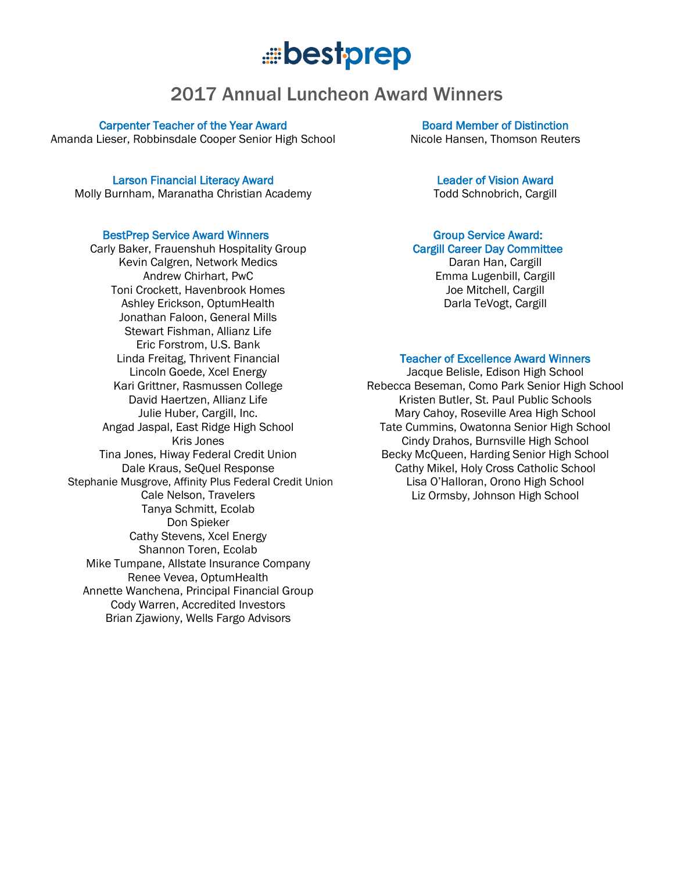## .....bestprep

### 2017 Annual Luncheon Award Winners

Carpenter Teacher of the Year Award Amanda Lieser, Robbinsdale Cooper Senior High School

Larson Financial Literacy Award

Molly Burnham, Maranatha Christian Academy

#### BestPrep Service Award Winners

Carly Baker, Frauenshuh Hospitality Group Kevin Calgren, Network Medics Andrew Chirhart, PwC Toni Crockett, Havenbrook Homes Ashley Erickson, OptumHealth Jonathan Faloon, General Mills Stewart Fishman, Allianz Life Eric Forstrom, U.S. Bank Linda Freitag, Thrivent Financial Lincoln Goede, Xcel Energy Kari Grittner, Rasmussen College David Haertzen, Allianz Life Julie Huber, Cargill, Inc. Angad Jaspal, East Ridge High School Kris Jones Tina Jones, Hiway Federal Credit Union Dale Kraus, SeQuel Response Stephanie Musgrove, Affinity Plus Federal Credit Union Cale Nelson, Travelers Tanya Schmitt, Ecolab Don Spieker Cathy Stevens, Xcel Energy Shannon Toren, Ecolab Mike Tumpane, Allstate Insurance Company Renee Vevea, OptumHealth Annette Wanchena, Principal Financial Group Cody Warren, Accredited Investors Brian Zjawiony, Wells Fargo Advisors

Board Member of Distinction Nicole Hansen, Thomson Reuters

#### Leader of Vision Award

Todd Schnobrich, Cargill

#### Group Service Award: Cargill Career Day Committee

Daran Han, Cargill Emma Lugenbill, Cargill Joe Mitchell, Cargill Darla TeVogt, Cargill

#### Teacher of Excellence Award Winners

Jacque Belisle, Edison High School Rebecca Beseman, Como Park Senior High School Kristen Butler, St. Paul Public Schools Mary Cahoy, Roseville Area High School Tate Cummins, Owatonna Senior High School Cindy Drahos, Burnsville High School Becky McQueen, Harding Senior High School Cathy Mikel, Holy Cross Catholic School Lisa O'Halloran, Orono High School Liz Ormsby, Johnson High School